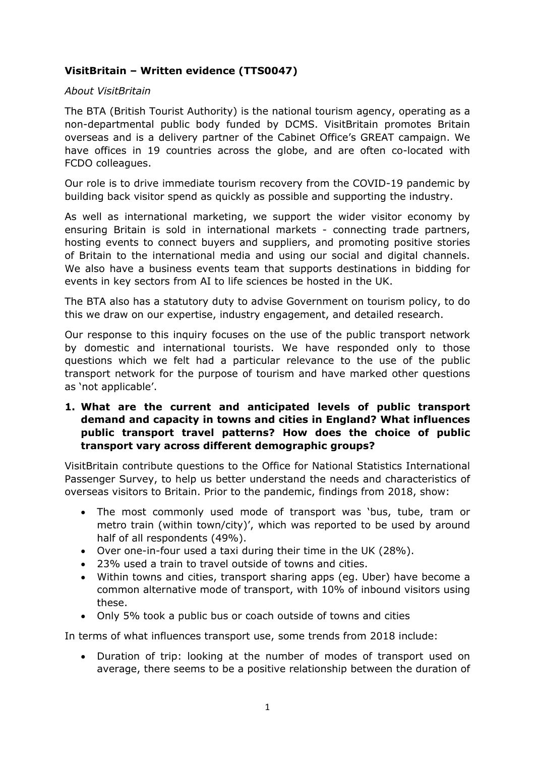# **VisitBritain – Written evidence (TTS0047)**

#### *About VisitBritain*

The BTA (British Tourist Authority) is the national tourism agency, operating as a non-departmental public body funded by DCMS. VisitBritain promotes Britain overseas and is a delivery partner of the Cabinet Office's GREAT campaign. We have offices in 19 countries across the globe, and are often co-located with FCDO colleagues.

Our role is to drive immediate tourism recovery from the COVID-19 pandemic by building back visitor spend as quickly as possible and supporting the industry.

As well as international marketing, we support the wider visitor economy by ensuring Britain is sold in international markets - connecting trade partners, hosting events to connect buyers and suppliers, and promoting positive stories of Britain to the international media and using our social and digital channels. We also have a business events team that supports destinations in bidding for events in key sectors from AI to life sciences be hosted in the UK.

The BTA also has a statutory duty to advise Government on tourism policy, to do this we draw on our expertise, industry engagement, and detailed research.

Our response to this inquiry focuses on the use of the public transport network by domestic and international tourists. We have responded only to those questions which we felt had a particular relevance to the use of the public transport network for the purpose of tourism and have marked other questions as 'not applicable'.

**1. What are the current and anticipated levels of public transport demand and capacity in towns and cities in England? What influences public transport travel patterns? How does the choice of public transport vary across different demographic groups?**

VisitBritain contribute questions to the Office for National Statistics International Passenger Survey, to help us better understand the needs and characteristics of overseas visitors to Britain. Prior to the pandemic, findings from 2018, show:

- The most commonly used mode of transport was 'bus, tube, tram or metro train (within town/city)', which was reported to be used by around half of all respondents (49%).
- Over one-in-four used a taxi during their time in the UK (28%).
- 23% used a train to travel outside of towns and cities.
- Within towns and cities, transport sharing apps (eg. Uber) have become a common alternative mode of transport, with 10% of inbound visitors using these.
- Only 5% took a public bus or coach outside of towns and cities

In terms of what influences transport use, some trends from 2018 include:

 Duration of trip: looking at the number of modes of transport used on average, there seems to be a positive relationship between the duration of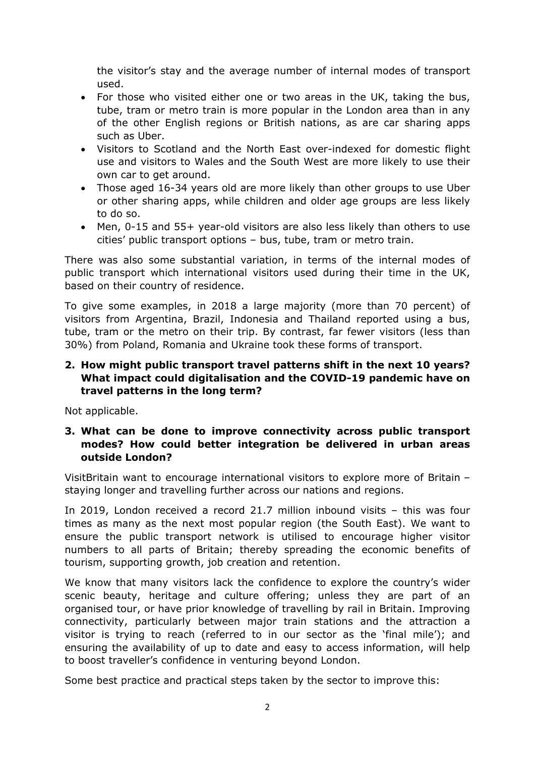the visitor's stay and the average number of internal modes of transport used.

- For those who visited either one or two areas in the UK, taking the bus, tube, tram or metro train is more popular in the London area than in any of the other English regions or British nations, as are car sharing apps such as Uber.
- Visitors to Scotland and the North East over-indexed for domestic flight use and visitors to Wales and the South West are more likely to use their own car to get around.
- Those aged 16-34 years old are more likely than other groups to use Uber or other sharing apps, while children and older age groups are less likely to do so.
- Men, 0-15 and 55+ year-old visitors are also less likely than others to use cities' public transport options – bus, tube, tram or metro train.

There was also some substantial variation, in terms of the internal modes of public transport which international visitors used during their time in the UK, based on their country of residence.

To give some examples, in 2018 a large majority (more than 70 percent) of visitors from Argentina, Brazil, Indonesia and Thailand reported using a bus, tube, tram or the metro on their trip. By contrast, far fewer visitors (less than 30%) from Poland, Romania and Ukraine took these forms of transport.

### **2. How might public transport travel patterns shift in the next 10 years? What impact could digitalisation and the COVID-19 pandemic have on travel patterns in the long term?**

Not applicable.

## **3. What can be done to improve connectivity across public transport modes? How could better integration be delivered in urban areas outside London?**

VisitBritain want to encourage international visitors to explore more of Britain – staying longer and travelling further across our nations and regions.

In 2019, London received a record 21.7 million inbound visits – this was four times as many as the next most popular region (the South East). We want to ensure the public transport network is utilised to encourage higher visitor numbers to all parts of Britain; thereby spreading the economic benefits of tourism, supporting growth, job creation and retention.

We know that many visitors lack the confidence to explore the country's wider scenic beauty, heritage and culture offering; unless they are part of an organised tour, or have prior knowledge of travelling by rail in Britain. Improving connectivity, particularly between major train stations and the attraction a visitor is trying to reach (referred to in our sector as the 'final mile'); and ensuring the availability of up to date and easy to access information, will help to boost traveller's confidence in venturing beyond London.

Some best practice and practical steps taken by the sector to improve this: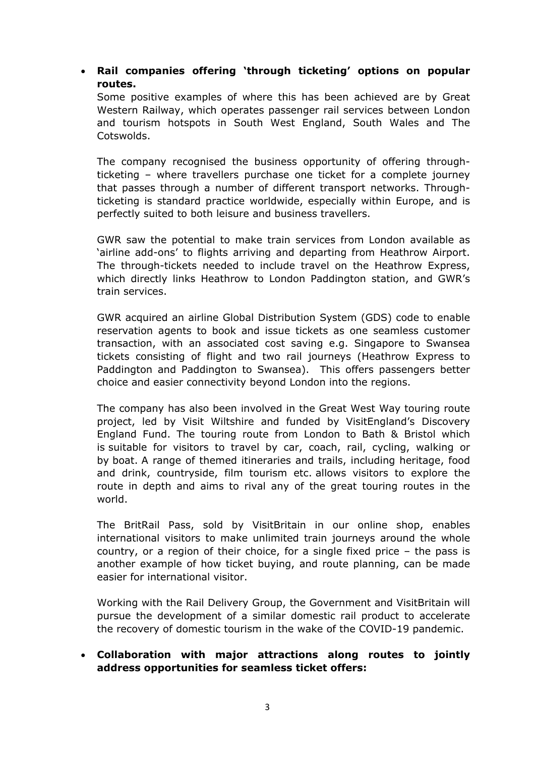## **Rail companies offering 'through ticketing' options on popular routes.**

Some positive examples of where this has been achieved are by Great Western Railway, which operates passenger rail services between London and tourism hotspots in South West England, South Wales and The Cotswolds.

The company recognised the business opportunity of offering throughticketing – where travellers purchase one ticket for a complete journey that passes through a number of different transport networks. Throughticketing is standard practice worldwide, especially within Europe, and is perfectly suited to both leisure and business travellers.

GWR saw the potential to make train services from London available as 'airline add-ons' to flights arriving and departing from Heathrow Airport. The through-tickets needed to include travel on the Heathrow Express, which directly links Heathrow to London Paddington station, and GWR's train services.

GWR acquired an airline Global Distribution System (GDS) code to enable reservation agents to book and issue tickets as one seamless customer transaction, with an associated cost saving e.g. Singapore to Swansea tickets consisting of flight and two rail journeys (Heathrow Express to Paddington and Paddington to Swansea). This offers passengers better choice and easier connectivity beyond London into the regions.

The company has also been involved in the Great West Way touring route project, led by Visit Wiltshire and funded by VisitEngland's Discovery England Fund. The touring route from London to Bath & Bristol which is suitable for visitors to travel by car, coach, rail, cycling, walking or by boat. A range of themed itineraries and trails, including heritage, food and drink, countryside, film tourism etc. allows visitors to explore the route in depth and aims to rival any of the great touring routes in the world.

The BritRail Pass, sold by VisitBritain in our online shop, enables international visitors to make unlimited train journeys around the whole country, or a region of their choice, for a single fixed price – the pass is another example of how ticket buying, and route planning, can be made easier for international visitor.

Working with the Rail Delivery Group, the Government and VisitBritain will pursue the development of a similar domestic rail product to accelerate the recovery of domestic tourism in the wake of the COVID-19 pandemic.

## **Collaboration with major attractions along routes to jointly address opportunities for seamless ticket offers:**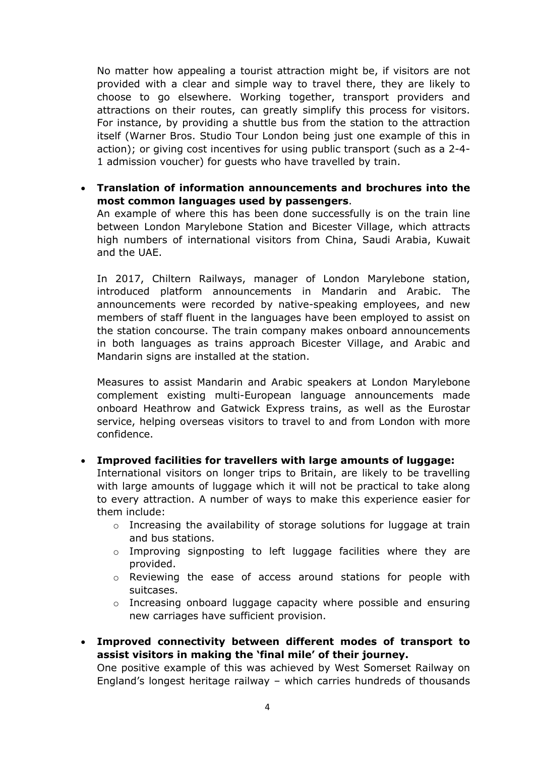No matter how appealing a tourist attraction might be, if visitors are not provided with a clear and simple way to travel there, they are likely to choose to go elsewhere. Working together, transport providers and attractions on their routes, can greatly simplify this process for visitors. For instance, by providing a shuttle bus from the station to the attraction itself (Warner Bros. Studio Tour London being just one example of this in action); or giving cost incentives for using public transport (such as a 2-4- 1 admission voucher) for guests who have travelled by train.

 **Translation of information announcements and brochures into the most common languages used by passengers**.

An example of where this has been done successfully is on the train line between London Marylebone Station and Bicester Village, which attracts high numbers of international visitors from China, Saudi Arabia, Kuwait and the UAE.

In 2017, Chiltern Railways, manager of London Marylebone station, introduced platform announcements in Mandarin and Arabic. The announcements were recorded by native-speaking employees, and new members of staff fluent in the languages have been employed to assist on the station concourse. The train company makes onboard announcements in both languages as trains approach Bicester Village, and Arabic and Mandarin signs are installed at the station.

Measures to assist Mandarin and Arabic speakers at London Marylebone complement existing multi-European language announcements made onboard Heathrow and Gatwick Express trains, as well as the Eurostar service, helping overseas visitors to travel to and from London with more confidence.

#### **Improved facilities for travellers with large amounts of luggage:**

International visitors on longer trips to Britain, are likely to be travelling with large amounts of luggage which it will not be practical to take along to every attraction. A number of ways to make this experience easier for them include:

- o Increasing the availability of storage solutions for luggage at train and bus stations.
- o Improving signposting to left luggage facilities where they are provided.
- $\circ$  Reviewing the ease of access around stations for people with suitcases.
- $\circ$  Increasing onboard luggage capacity where possible and ensuring new carriages have sufficient provision.
- **Improved connectivity between different modes of transport to assist visitors in making the 'final mile' of their journey.**

One positive example of this was achieved by West Somerset Railway on England's longest heritage railway – which carries hundreds of thousands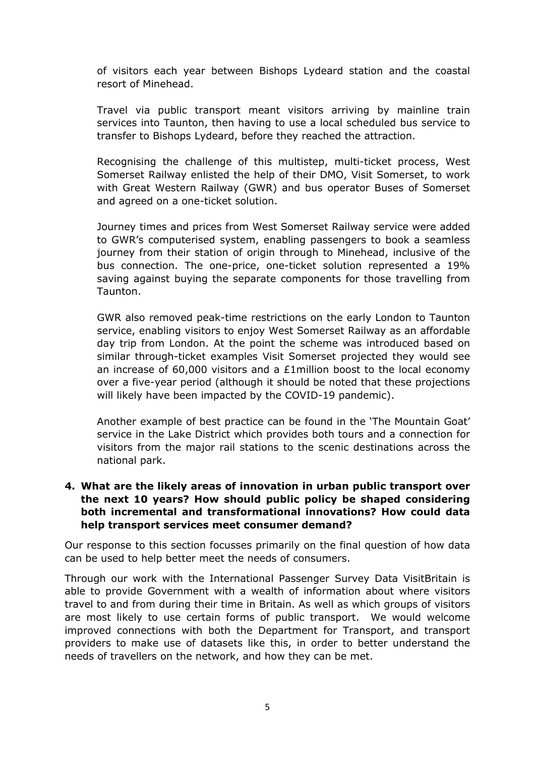of visitors each year between Bishops Lydeard station and the coastal resort of Minehead.

Travel via public transport meant visitors arriving by mainline train services into Taunton, then having to use a local scheduled bus service to transfer to Bishops Lydeard, before they reached the attraction.

Recognising the challenge of this multistep, multi-ticket process, West Somerset Railway enlisted the help of their DMO, Visit Somerset, to work with Great Western Railway (GWR) and bus operator Buses of Somerset and agreed on a one-ticket solution.

Journey times and prices from West Somerset Railway service were added to GWR's computerised system, enabling passengers to book a seamless journey from their station of origin through to Minehead, inclusive of the bus connection. The one-price, one-ticket solution represented a 19% saving against buying the separate components for those travelling from Taunton.

GWR also removed peak-time restrictions on the early London to Taunton service, enabling visitors to enjoy West Somerset Railway as an affordable day trip from London. At the point the scheme was introduced based on similar through-ticket examples Visit Somerset projected they would see an increase of 60,000 visitors and a £1million boost to the local economy over a five-year period (although it should be noted that these projections will likely have been impacted by the COVID-19 pandemic).

Another example of best practice can be found in the 'The Mountain Goat' service in the Lake District which provides both tours and a connection for visitors from the major rail stations to the scenic destinations across the national park.

#### **4. What are the likely areas of innovation in urban public transport over the next 10 years? How should public policy be shaped considering both incremental and transformational innovations? How could data help transport services meet consumer demand?**

Our response to this section focusses primarily on the final question of how data can be used to help better meet the needs of consumers.

Through our work with the International Passenger Survey Data VisitBritain is able to provide Government with a wealth of information about where visitors travel to and from during their time in Britain. As well as which groups of visitors are most likely to use certain forms of public transport. We would welcome improved connections with both the Department for Transport, and transport providers to make use of datasets like this, in order to better understand the needs of travellers on the network, and how they can be met.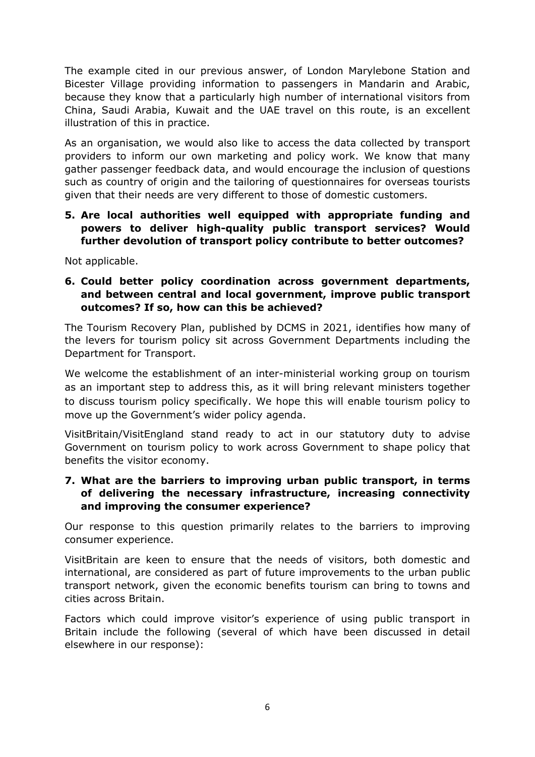The example cited in our previous answer, of London Marylebone Station and Bicester Village providing information to passengers in Mandarin and Arabic, because they know that a particularly high number of international visitors from China, Saudi Arabia, Kuwait and the UAE travel on this route, is an excellent illustration of this in practice.

As an organisation, we would also like to access the data collected by transport providers to inform our own marketing and policy work. We know that many gather passenger feedback data, and would encourage the inclusion of questions such as country of origin and the tailoring of questionnaires for overseas tourists given that their needs are very different to those of domestic customers.

**5. Are local authorities well equipped with appropriate funding and powers to deliver high-quality public transport services? Would further devolution of transport policy contribute to better outcomes?**

Not applicable.

**6. Could better policy coordination across government departments, and between central and local government, improve public transport outcomes? If so, how can this be achieved?**

The Tourism Recovery Plan, published by DCMS in 2021, identifies how many of the levers for tourism policy sit across Government Departments including the Department for Transport.

We welcome the establishment of an inter-ministerial working group on tourism as an important step to address this, as it will bring relevant ministers together to discuss tourism policy specifically. We hope this will enable tourism policy to move up the Government's wider policy agenda.

VisitBritain/VisitEngland stand ready to act in our statutory duty to advise Government on tourism policy to work across Government to shape policy that benefits the visitor economy.

#### **7. What are the barriers to improving urban public transport, in terms of delivering the necessary infrastructure, increasing connectivity and improving the consumer experience?**

Our response to this question primarily relates to the barriers to improving consumer experience.

VisitBritain are keen to ensure that the needs of visitors, both domestic and international, are considered as part of future improvements to the urban public transport network, given the economic benefits tourism can bring to towns and cities across Britain.

Factors which could improve visitor's experience of using public transport in Britain include the following (several of which have been discussed in detail elsewhere in our response):